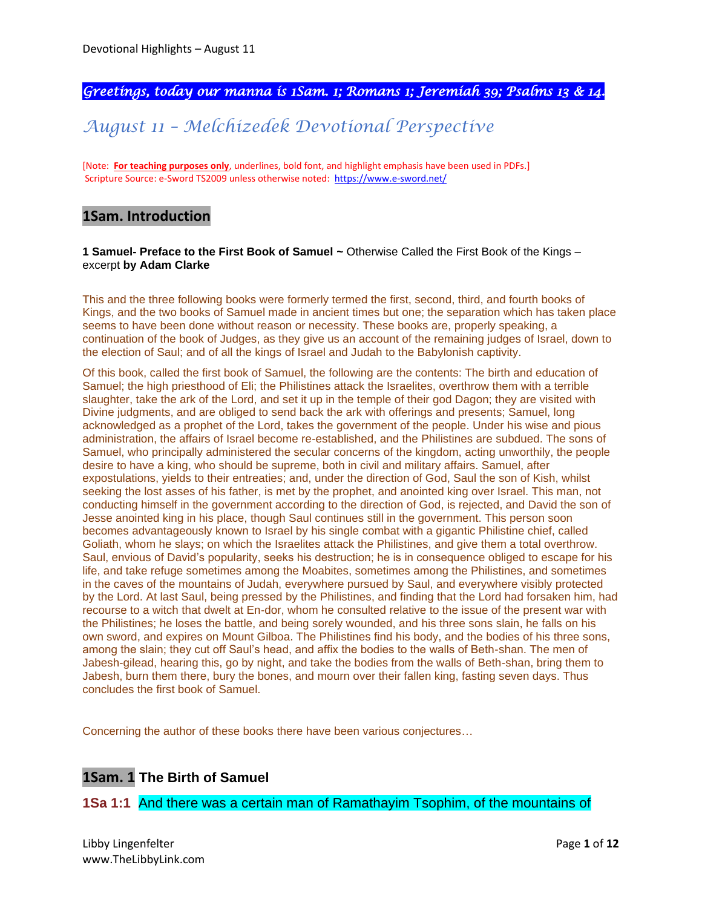#### *Greetings, today our manna is 1Sam. 1; Romans 1; Jeremiah 39; Psalms 13 & 14.*

# *August 11 – Melchizedek Devotional Perspective*

[Note: **For teaching purposes only**, underlines, bold font, and highlight emphasis have been used in PDFs.] Scripture Source: e-Sword TS2009 unless otherwise noted: <https://www.e-sword.net/>

#### **1Sam. Introduction**

#### **1 Samuel- Preface to the First Book of Samuel ~** Otherwise Called the First Book of the Kings – excerpt **by Adam Clarke**

This and the three following books were formerly termed the first, second, third, and fourth books of Kings, and the two books of Samuel made in ancient times but one; the separation which has taken place seems to have been done without reason or necessity. These books are, properly speaking, a continuation of the book of Judges, as they give us an account of the remaining judges of Israel, down to the election of Saul; and of all the kings of Israel and Judah to the Babylonish captivity.

Of this book, called the first book of Samuel, the following are the contents: The birth and education of Samuel; the high priesthood of Eli; the Philistines attack the Israelites, overthrow them with a terrible slaughter, take the ark of the Lord, and set it up in the temple of their god Dagon; they are visited with Divine judgments, and are obliged to send back the ark with offerings and presents; Samuel, long acknowledged as a prophet of the Lord, takes the government of the people. Under his wise and pious administration, the affairs of Israel become re-established, and the Philistines are subdued. The sons of Samuel, who principally administered the secular concerns of the kingdom, acting unworthily, the people desire to have a king, who should be supreme, both in civil and military affairs. Samuel, after expostulations, yields to their entreaties; and, under the direction of God, Saul the son of Kish, whilst seeking the lost asses of his father, is met by the prophet, and anointed king over Israel. This man, not conducting himself in the government according to the direction of God, is rejected, and David the son of Jesse anointed king in his place, though Saul continues still in the government. This person soon becomes advantageously known to Israel by his single combat with a gigantic Philistine chief, called Goliath, whom he slays; on which the Israelites attack the Philistines, and give them a total overthrow. Saul, envious of David's popularity, seeks his destruction; he is in consequence obliged to escape for his life, and take refuge sometimes among the Moabites, sometimes among the Philistines, and sometimes in the caves of the mountains of Judah, everywhere pursued by Saul, and everywhere visibly protected by the Lord. At last Saul, being pressed by the Philistines, and finding that the Lord had forsaken him, had recourse to a witch that dwelt at En-dor, whom he consulted relative to the issue of the present war with the Philistines; he loses the battle, and being sorely wounded, and his three sons slain, he falls on his own sword, and expires on Mount Gilboa. The Philistines find his body, and the bodies of his three sons, among the slain; they cut off Saul's head, and affix the bodies to the walls of Beth-shan. The men of Jabesh-gilead, hearing this, go by night, and take the bodies from the walls of Beth-shan, bring them to Jabesh, burn them there, bury the bones, and mourn over their fallen king, fasting seven days. Thus concludes the first book of Samuel.

Concerning the author of these books there have been various conjectures…

## **1Sam. 1 The Birth of Samuel**

**1Sa 1:1** And there was a certain man of Ramathayim Tsophim, of the mountains of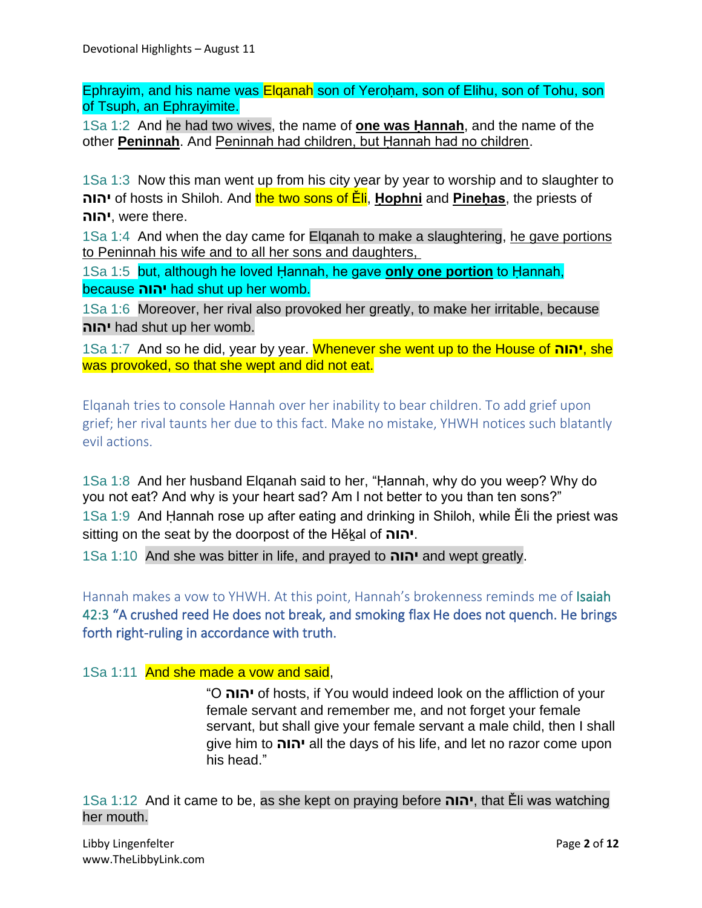Ephrayim, and his name was Elqanah son of Yeroḥam, son of Elihu, son of Tohu, son of Tsuph, an Ephrayimite.

1Sa 1:2 And he had two wives, the name of **one was Ḥannah**, and the name of the other **Peninnah**. And Peninnah had children, but Ḥannah had no children.

1Sa 1:3 Now this man went up from his city year by year to worship and to slaughter to **יהוה** of hosts in Shiloh. And the two sons of Ěli, **Ḥophni** and **Pineḥas**, the priests of **יהוה**, were there.

1Sa 1:4 And when the day came for Elqanah to make a slaughtering, he gave portions to Peninnah his wife and to all her sons and daughters,

1Sa 1:5 but, although he loved Ḥannah, he gave **only one portion** to Ḥannah, because **יהוה** had shut up her womb.

1Sa 1:6 Moreover, her rival also provoked her greatly, to make her irritable, because **יהוה** had shut up her womb.

1Sa 1:7 And so he did, year by year. Whenever she went up to the House of **יהוה**, she was provoked, so that she wept and did not eat.

Elqanah tries to console Hannah over her inability to bear children. To add grief upon grief; her rival taunts her due to this fact. Make no mistake, YHWH notices such blatantly evil actions.

1Sa 1:8 And her husband Elqanah said to her, "Ḥannah, why do you weep? Why do you not eat? And why is your heart sad? Am I not better to you than ten sons?" 1Sa 1:9 And Ḥannah rose up after eating and drinking in Shiloh, while Ěli the priest was sitting on the seat by the doorpost of the Hěḵal of **יהוה**.

1Sa 1:10 And she was bitter in life, and prayed to **יהוה** and wept greatly.

Hannah makes a vow to YHWH. At this point, Hannah's brokenness reminds me of Isaiah 42:3 "A crushed reed He does not break, and smoking flax He does not quench. He brings forth right-ruling in accordance with truth.

#### 1Sa 1:11 And she made a vow and said,

"O **יהוה** of hosts, if You would indeed look on the affliction of your female servant and remember me, and not forget your female servant, but shall give your female servant a male child, then I shall give him to **יהוה** all the days of his life, and let no razor come upon his head."

1Sa 1:12 And it came to be, as she kept on praying before **יהוה**, that Ěli was watching her mouth.

Libby Lingenfelter **Page 2** of 12 www.TheLibbyLink.com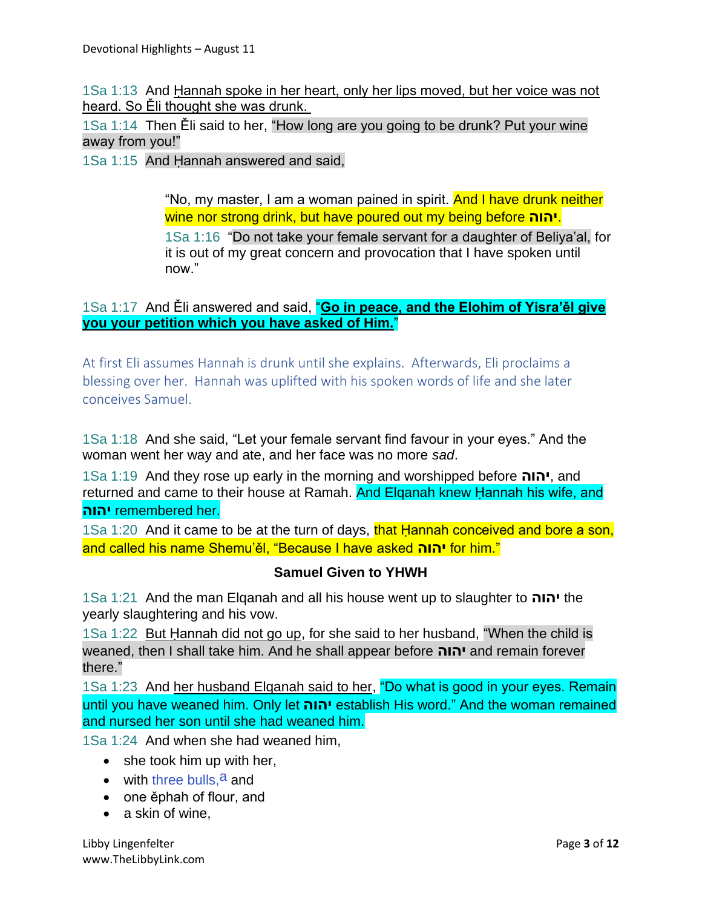1Sa 1:13 And Ḥannah spoke in her heart, only her lips moved, but her voice was not heard. So Ěli thought she was drunk.

1Sa 1:14 Then Ěli said to her, "How long are you going to be drunk? Put your wine away from you!"

1Sa 1:15 And Hannah answered and said,

"No, my master, I am a woman pained in spirit. And I have drunk neither wine nor strong drink, but have poured out my being before **יהוה**.

1Sa 1:16 "Do not take your female servant for a daughter of Beliya'al, for it is out of my great concern and provocation that I have spoken until now."

#### 1Sa 1:17 And Ěli answered and said, "**Go in peace, and the Elohim of Yisra'ěl give you your petition which you have asked of Him.**"

At first Eli assumes Hannah is drunk until she explains. Afterwards, Eli proclaims a blessing over her. Hannah was uplifted with his spoken words of life and she later conceives Samuel.

1Sa 1:18 And she said, "Let your female servant find favour in your eyes." And the woman went her way and ate, and her face was no more *sad*.

1Sa 1:19 And they rose up early in the morning and worshipped before **יהוה**, and returned and came to their house at Ramah. And Elganah knew Hannah his wife, and **יהוה** remembered her.

1Sa 1:20 And it came to be at the turn of days, that Hannah conceived and bore a son, and called his name Shemu'ěl, "Because I have asked **יהוה** for him."

#### **Samuel Given to YHWH**

1Sa 1:21 And the man Elqanah and all his house went up to slaughter to **יהוה** the yearly slaughtering and his vow.

1Sa 1:22 But Hannah did not go up, for she said to her husband, "When the child is weaned, then I shall take him. And he shall appear before **יהוה** and remain forever there."

1Sa 1:23 And her husband Elqanah said to her, "Do what is good in your eyes. Remain until you have weaned him. Only let **יהוה** establish His word." And the woman remained and nursed her son until she had weaned him.

1Sa 1:24 And when she had weaned him,

- she took him up with her,
- with three bulls,  $a$  and
- one ěphah of flour, and
- a skin of wine.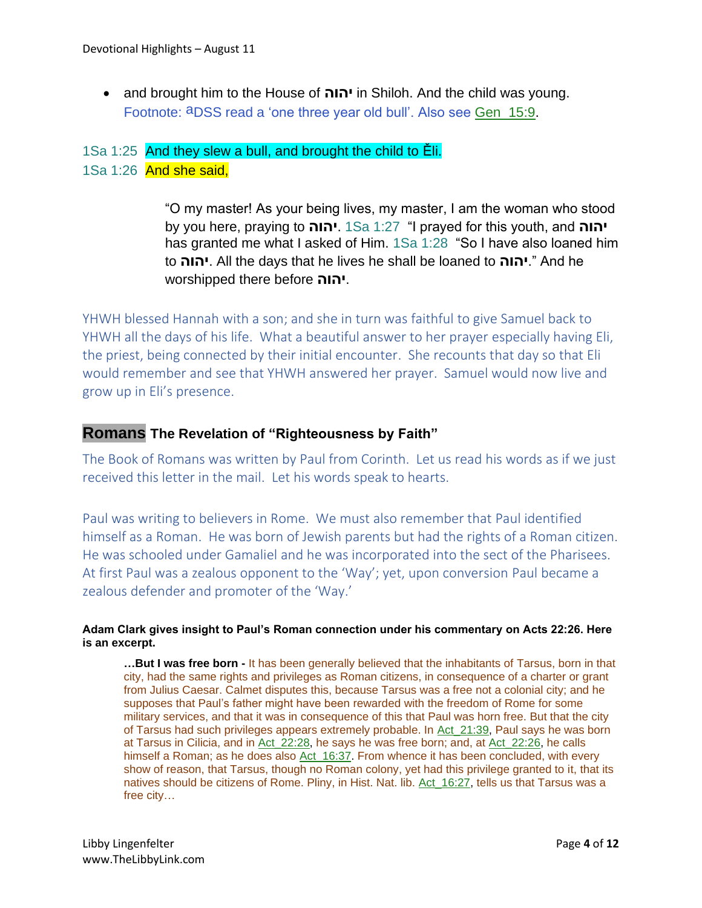• and brought him to the House of **יהוה** in Shiloh. And the child was young. Footnote:  $a$ DSS read a 'one three year old bull'. Also see Gen\_15:9.

1Sa 1:25 And they slew a bull, and brought the child to Ěli. 1Sa 1:26 And she said,

> "O my master! As your being lives, my master, I am the woman who stood by you here, praying to **יהוה**. 1Sa 1:27 "I prayed for this youth, and **יהוה** has granted me what I asked of Him. 1Sa 1:28 "So I have also loaned him to **יהוה**. All the days that he lives he shall be loaned to **יהוה**. "And he worshipped there before **יהוה**.

YHWH blessed Hannah with a son; and she in turn was faithful to give Samuel back to YHWH all the days of his life. What a beautiful answer to her prayer especially having Eli, the priest, being connected by their initial encounter. She recounts that day so that Eli would remember and see that YHWH answered her prayer. Samuel would now live and grow up in Eli's presence.

#### **Romans The Revelation of "Righteousness by Faith"**

The Book of Romans was written by Paul from Corinth. Let us read his words as if we just received this letter in the mail. Let his words speak to hearts.

Paul was writing to believers in Rome. We must also remember that Paul identified himself as a Roman. He was born of Jewish parents but had the rights of a Roman citizen. He was schooled under Gamaliel and he was incorporated into the sect of the Pharisees. At first Paul was a zealous opponent to the 'Way'; yet, upon conversion Paul became a zealous defender and promoter of the 'Way.'

#### **Adam Clark gives insight to Paul's Roman connection under his commentary on Acts 22:26. Here is an excerpt.**

**…But I was free born -** It has been generally believed that the inhabitants of Tarsus, born in that city, had the same rights and privileges as Roman citizens, in consequence of a charter or grant from Julius Caesar. Calmet disputes this, because Tarsus was a free not a colonial city; and he supposes that Paul's father might have been rewarded with the freedom of Rome for some military services, and that it was in consequence of this that Paul was horn free. But that the city of Tarsus had such privileges appears extremely probable. In Act\_21:39, Paul says he was born at Tarsus in Cilicia, and in Act\_22:28, he says he was free born; and, at Act\_22:26, he calls himself a Roman; as he does also Act 16:37. From whence it has been concluded, with every show of reason, that Tarsus, though no Roman colony, yet had this privilege granted to it, that its natives should be citizens of Rome. Pliny, in Hist. Nat. lib. Act\_16:27, tells us that Tarsus was a free city…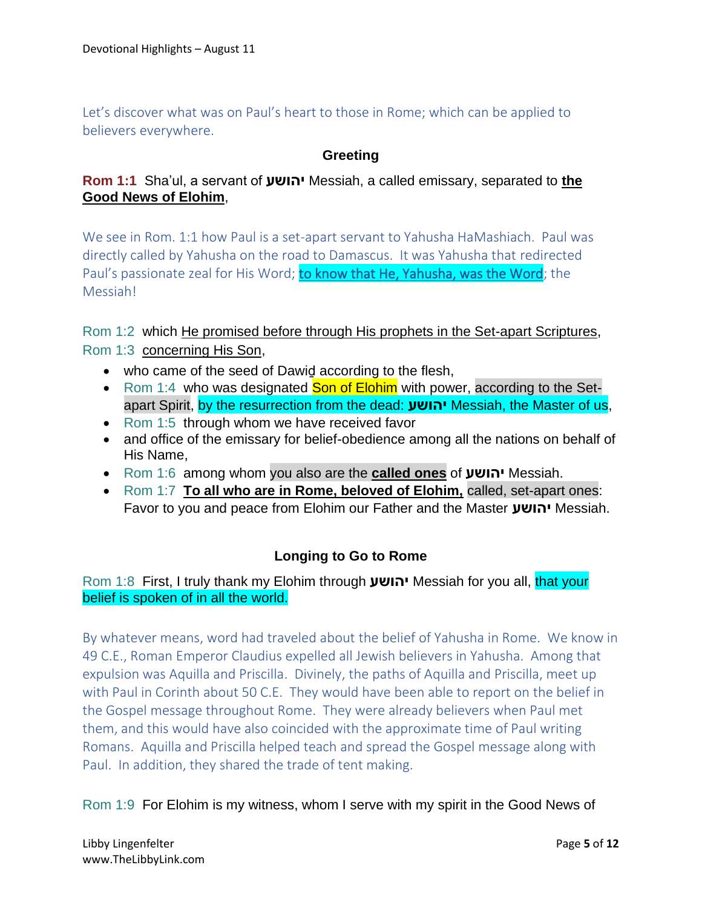Let's discover what was on Paul's heart to those in Rome; which can be applied to believers everywhere.

#### **Greeting**

## **Rom 1:1** Sha'ul, a servant of **יהושע** Messiah, a called emissary, separated to **the Good News of Elohim**,

We see in Rom. 1:1 how Paul is a set-apart servant to Yahusha HaMashiach. Paul was directly called by Yahusha on the road to Damascus. It was Yahusha that redirected Paul's passionate zeal for His Word; to know that He, Yahusha, was the Word; the Messiah!

Rom 1:2 which He promised before through His prophets in the Set-apart Scriptures, Rom 1:3 concerning His Son,

- who came of the seed of Dawiḏ according to the flesh,
- Rom 1:4 who was designated **Son of Elohim** with power, according to the Setapart Spirit, by the resurrection from the dead: **יהושע** Messiah, the Master of us,
- Rom 1:5 through whom we have received favor
- and office of the emissary for belief-obedience among all the nations on behalf of His Name,
- Rom 1:6 among whom you also are the **called ones** of **יהושע** Messiah.
- Rom 1:7 **To all who are in Rome, beloved of Elohim,** called, set-apart ones: Favor to you and peace from Elohim our Father and the Master **יהושע** Messiah.

## **Longing to Go to Rome**

## Rom 1:8 First, I truly thank my Elohim through **יהושע** Messiah for you all, that your belief is spoken of in all the world.

By whatever means, word had traveled about the belief of Yahusha in Rome. We know in 49 C.E., Roman Emperor Claudius expelled all Jewish believers in Yahusha. Among that expulsion was Aquilla and Priscilla. Divinely, the paths of Aquilla and Priscilla, meet up with Paul in Corinth about 50 C.E. They would have been able to report on the belief in the Gospel message throughout Rome. They were already believers when Paul met them, and this would have also coincided with the approximate time of Paul writing Romans. Aquilla and Priscilla helped teach and spread the Gospel message along with Paul. In addition, they shared the trade of tent making.

Rom 1:9 For Elohim is my witness, whom I serve with my spirit in the Good News of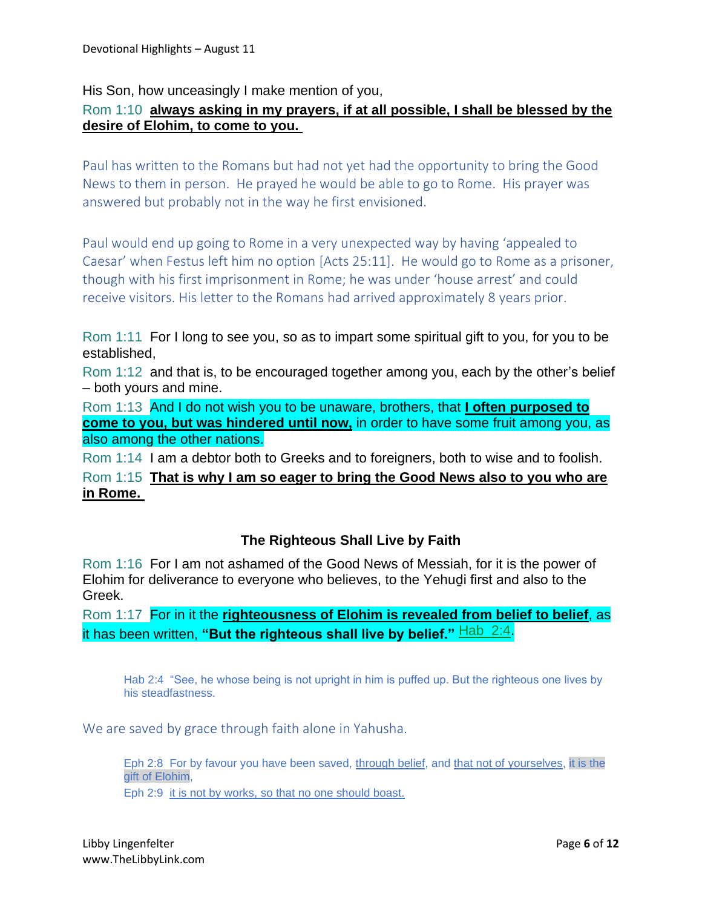His Son, how unceasingly I make mention of you,

## Rom 1:10 **always asking in my prayers, if at all possible, I shall be blessed by the desire of Elohim, to come to you.**

Paul has written to the Romans but had not yet had the opportunity to bring the Good News to them in person. He prayed he would be able to go to Rome. His prayer was answered but probably not in the way he first envisioned.

Paul would end up going to Rome in a very unexpected way by having 'appealed to Caesar' when Festus left him no option [Acts 25:11]. He would go to Rome as a prisoner, though with his first imprisonment in Rome; he was under 'house arrest' and could receive visitors. His letter to the Romans had arrived approximately 8 years prior.

Rom 1:11 For I long to see you, so as to impart some spiritual gift to you, for you to be established,

Rom 1:12 and that is, to be encouraged together among you, each by the other's belief – both yours and mine.

Rom 1:13 And I do not wish you to be unaware, brothers, that **I often purposed to come to you, but was hindered until now,** in order to have some fruit among you, as also among the other nations.

Rom 1:14 I am a debtor both to Greeks and to foreigners, both to wise and to foolish.

Rom 1:15 **That is why I am so eager to bring the Good News also to you who are in Rome.**

#### **The Righteous Shall Live by Faith**

Rom 1:16 For I am not ashamed of the Good News of Messiah, for it is the power of Elohim for deliverance to everyone who believes, to the Yehuḏi first and also to the Greek.

Rom 1:17 For in it the **righteousness of Elohim is revealed from belief to belief**, as it has been written, "But the righteous shall live by belief." **Hab\_2:4**.

Hab 2:4 "See, he whose being is not upright in him is puffed up. But the righteous one lives by his steadfastness.

We are saved by grace through faith alone in Yahusha.

Eph 2:8 For by favour you have been saved, through belief, and that not of yourselves, it is the gift of Elohim,

Eph 2:9 it is not by works, so that no one should boast.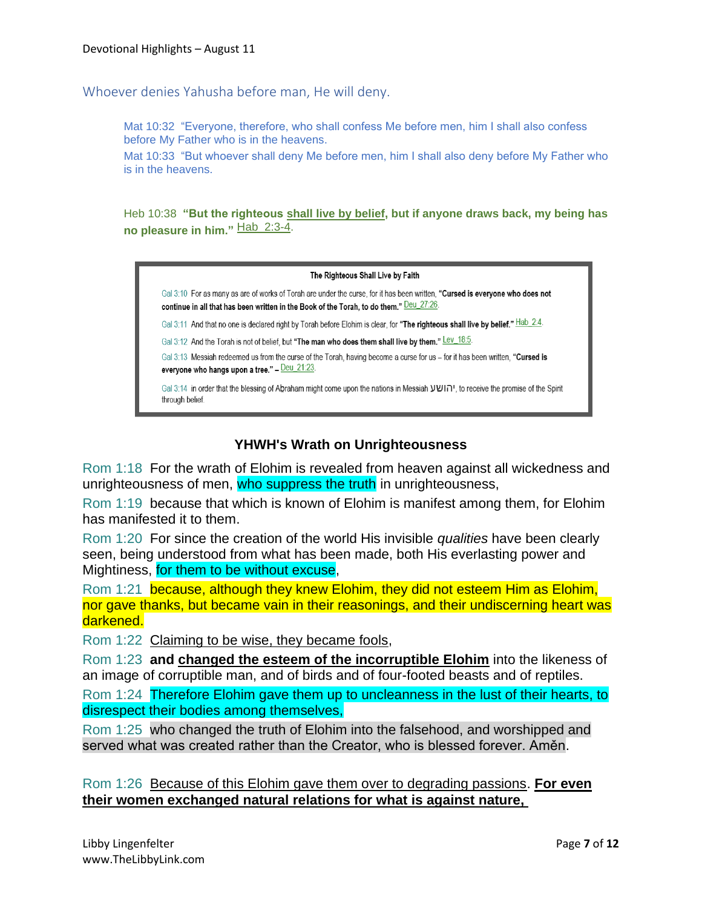Whoever denies Yahusha before man, He will deny.

Mat 10:32 "Everyone, therefore, who shall confess Me before men, him I shall also confess before My Father who is in the heavens.

Mat 10:33 "But whoever shall deny Me before men, him I shall also deny before My Father who is in the heavens.

Heb 10:38 **"But the righteous shall live by belief, but if anyone draws back, my being has no pleasure in him."** Hab\_2:3-4.



#### **YHWH's Wrath on Unrighteousness**

Rom 1:18 For the wrath of Elohim is revealed from heaven against all wickedness and unrighteousness of men, who suppress the truth in unrighteousness,

Rom 1:19 because that which is known of Elohim is manifest among them, for Elohim has manifested it to them.

Rom 1:20 For since the creation of the world His invisible *qualities* have been clearly seen, being understood from what has been made, both His everlasting power and Mightiness, for them to be without excuse,

Rom 1:21 because, although they knew Elohim, they did not esteem Him as Elohim, nor gave thanks, but became vain in their reasonings, and their undiscerning heart was darkened.

Rom 1:22 Claiming to be wise, they became fools,

Rom 1:23 **and changed the esteem of the incorruptible Elohim** into the likeness of an image of corruptible man, and of birds and of four-footed beasts and of reptiles.

Rom 1:24 Therefore Elohim gave them up to uncleanness in the lust of their hearts, to disrespect their bodies among themselves,

Rom 1:25 who changed the truth of Elohim into the falsehood, and worshipped and served what was created rather than the Creator, who is blessed forever. Aměn.

Rom 1:26 Because of this Elohim gave them over to degrading passions. **For even their women exchanged natural relations for what is against nature,**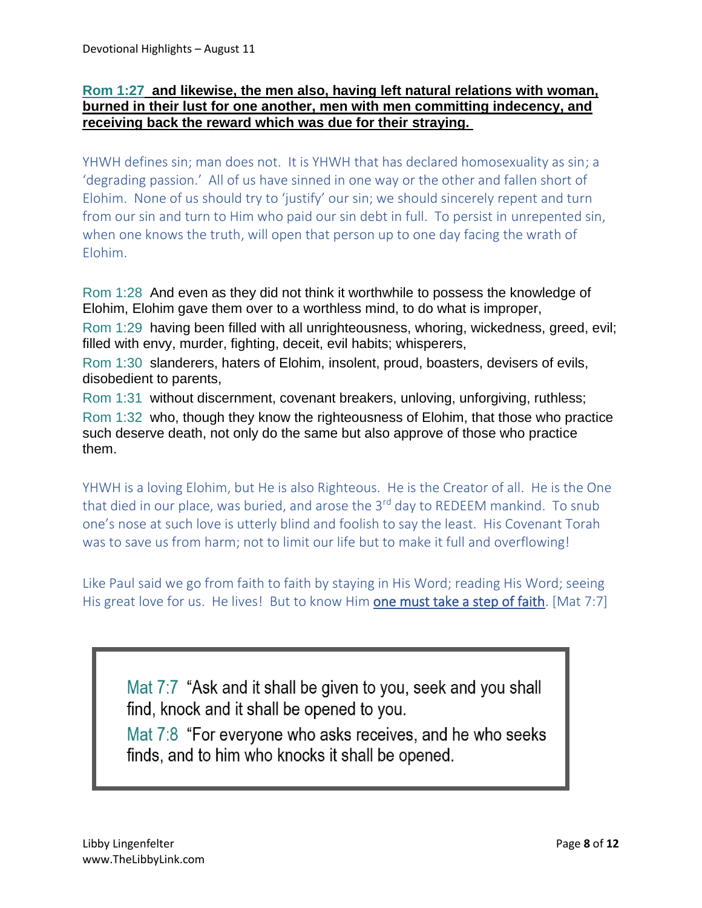## **Rom 1:27 and likewise, the men also, having left natural relations with woman, burned in their lust for one another, men with men committing indecency, and receiving back the reward which was due for their straying.**

YHWH defines sin; man does not. It is YHWH that has declared homosexuality as sin; a 'degrading passion.' All of us have sinned in one way or the other and fallen short of Elohim. None of us should try to 'justify' our sin; we should sincerely repent and turn from our sin and turn to Him who paid our sin debt in full. To persist in unrepented sin, when one knows the truth, will open that person up to one day facing the wrath of Elohim.

Rom 1:28 And even as they did not think it worthwhile to possess the knowledge of Elohim, Elohim gave them over to a worthless mind, to do what is improper,

Rom 1:29 having been filled with all unrighteousness, whoring, wickedness, greed, evil; filled with envy, murder, fighting, deceit, evil habits; whisperers,

Rom 1:30 slanderers, haters of Elohim, insolent, proud, boasters, devisers of evils, disobedient to parents,

Rom 1:31 without discernment, covenant breakers, unloving, unforgiving, ruthless; Rom 1:32 who, though they know the righteousness of Elohim, that those who practice such deserve death, not only do the same but also approve of those who practice them.

YHWH is a loving Elohim, but He is also Righteous. He is the Creator of all. He is the One that died in our place, was buried, and arose the  $3<sup>rd</sup>$  day to REDEEM mankind. To snub one's nose at such love is utterly blind and foolish to say the least. His Covenant Torah was to save us from harm; not to limit our life but to make it full and overflowing!

Like Paul said we go from faith to faith by staying in His Word; reading His Word; seeing His great love for us. He lives! But to know Him one must take a step of faith. [Mat 7:7]

Mat 7:7 "Ask and it shall be given to you, seek and you shall find, knock and it shall be opened to you.

Mat 7:8 "For everyone who asks receives, and he who seeks finds, and to him who knocks it shall be opened.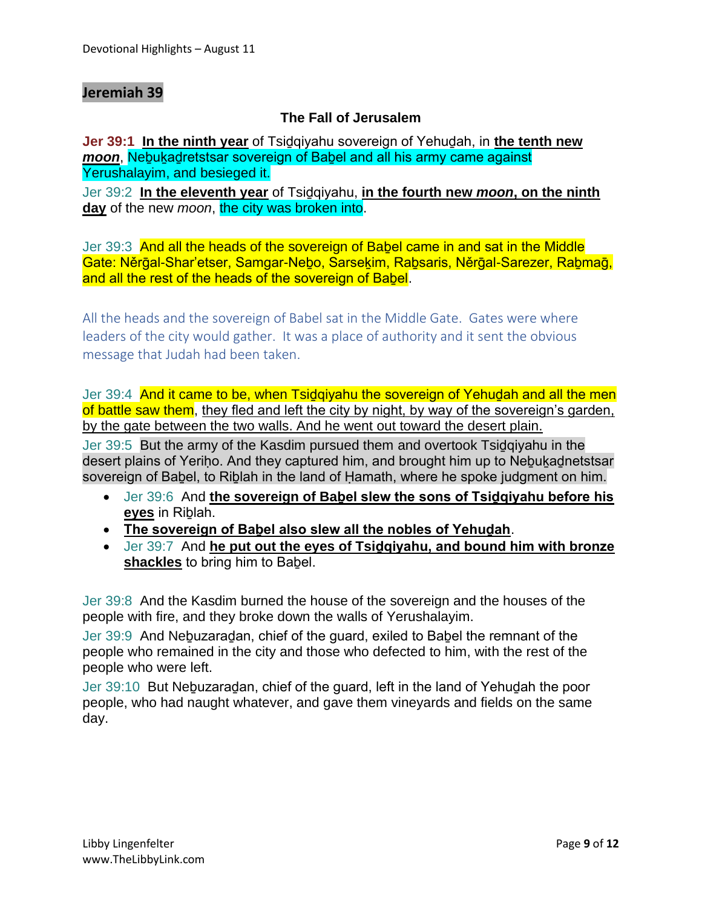#### **Jeremiah 39**

#### **The Fall of Jerusalem**

**Jer 39:1 In the ninth year** of Tsiḏqiyahu sovereign of Yehuḏah, in **the tenth new**  *moon*, Nebukadretstsar sovereign of Babel and all his army came against Yerushalayim, and besieged it.

Jer 39:2 **In the eleventh year** of Tsiḏqiyahu, **in the fourth new** *moon***, on the ninth day** of the new *moon*, the city was broken into.

Jer 39:3 And all the heads of the sovereign of Babel came in and sat in the Middle Gate: Něrğal-Shar'etser, Samgar-Nebo, Sarsekim, Rabsaris, Něrğal-Sarezer, Rabmağ, and all the rest of the heads of the sovereign of Babel.

All the heads and the sovereign of Babel sat in the Middle Gate. Gates were where leaders of the city would gather. It was a place of authority and it sent the obvious message that Judah had been taken.

Jer 39:4 And it came to be, when Tsidgiyahu the sovereign of Yehudah and all the men of battle saw them, they fled and left the city by night, by way of the sovereign's garden, by the gate between the two walls. And he went out toward the desert plain.

Jer 39:5 But the army of the Kasdim pursued them and overtook Tsiḏqiyahu in the desert plains of Yeriḥo. And they captured him, and brought him up to Nebukadnetstsar sovereign of Babel, to Riblah in the land of Hamath, where he spoke judgment on him.

- Jer 39:6 And **the sovereign of Baḇel slew the sons of Tsiḏqiyahu before his eyes** in Riḇlah.
- **The sovereign of Baḇel also slew all the nobles of Yehuḏah**.
- Jer 39:7 And **he put out the eyes of Tsiḏqiyahu, and bound him with bronze**  shackles to bring him to Babel.

Jer 39:8 And the Kasdim burned the house of the sovereign and the houses of the people with fire, and they broke down the walls of Yerushalayim.

Jer 39:9 And Neḇuzaraḏan, chief of the guard, exiled to Baḇel the remnant of the people who remained in the city and those who defected to him, with the rest of the people who were left.

Jer 39:10 But Neḇuzaraḏan, chief of the guard, left in the land of Yehuḏah the poor people, who had naught whatever, and gave them vineyards and fields on the same day.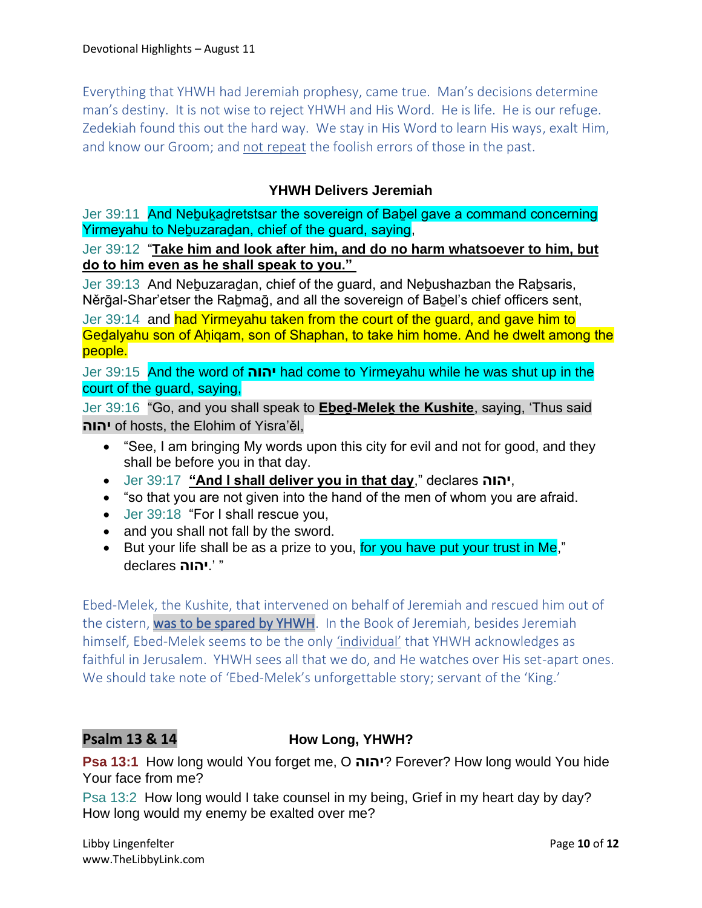Everything that YHWH had Jeremiah prophesy, came true. Man's decisions determine man's destiny. It is not wise to reject YHWH and His Word. He is life. He is our refuge. Zedekiah found this out the hard way. We stay in His Word to learn His ways, exalt Him, and know our Groom; and not repeat the foolish errors of those in the past.

#### **YHWH Delivers Jeremiah**

Jer 39:11 And Nebukadretstsar the sovereign of Babel gave a command concerning Yirmeyahu to Neḇuzaraḏan, chief of the guard, saying,

Jer 39:12 "**Take him and look after him, and do no harm whatsoever to him, but do to him even as he shall speak to you."**

Jer 39:13 And Nebuzaradan, chief of the guard, and Nebushazban the Rabsaris, Něrḡal-Shar'etser the Raḇmaḡ, and all the sovereign of Baḇel's chief officers sent,

Jer 39:14 and had Yirmeyahu taken from the court of the guard, and gave him to Gedalyahu son of Ahigam, son of Shaphan, to take him home. And he dwelt among the people.

Jer 39:15 And the word of **יהוה** had come to Yirmeyahu while he was shut up in the court of the guard, saying,

Jer 39:16 "Go, and you shall speak to **Eḇeḏ-Meleḵ the Kushite**, saying, 'Thus said **יהוה** of hosts, the Elohim of Yisra'ěl,

- "See, I am bringing My words upon this city for evil and not for good, and they shall be before you in that day.
- Jer 39:17 **"And I shall deliver you in that day**," declares **יהוה**,
- "so that you are not given into the hand of the men of whom you are afraid.
- Jer 39:18 "For I shall rescue you,
- and you shall not fall by the sword.
- But your life shall be as a prize to you, for you have put your trust in Me," " '.**יהוה** declares

Ebed-Melek, the Kushite, that intervened on behalf of Jeremiah and rescued him out of the cistern, was to be spared by YHWH. In the Book of Jeremiah, besides Jeremiah himself, Ebed-Melek seems to be the only 'individual' that YHWH acknowledges as faithful in Jerusalem. YHWH sees all that we do, and He watches over His set-apart ones. We should take note of 'Ebed-Melek's unforgettable story; servant of the 'King.'

## **Psalm 13 & 14 How Long, YHWH?**

**Psa 13:1** How long would You forget me, O **יהוה** ?Forever? How long would You hide Your face from me?

Psa 13:2 How long would I take counsel in my being, Grief in my heart day by day? How long would my enemy be exalted over me?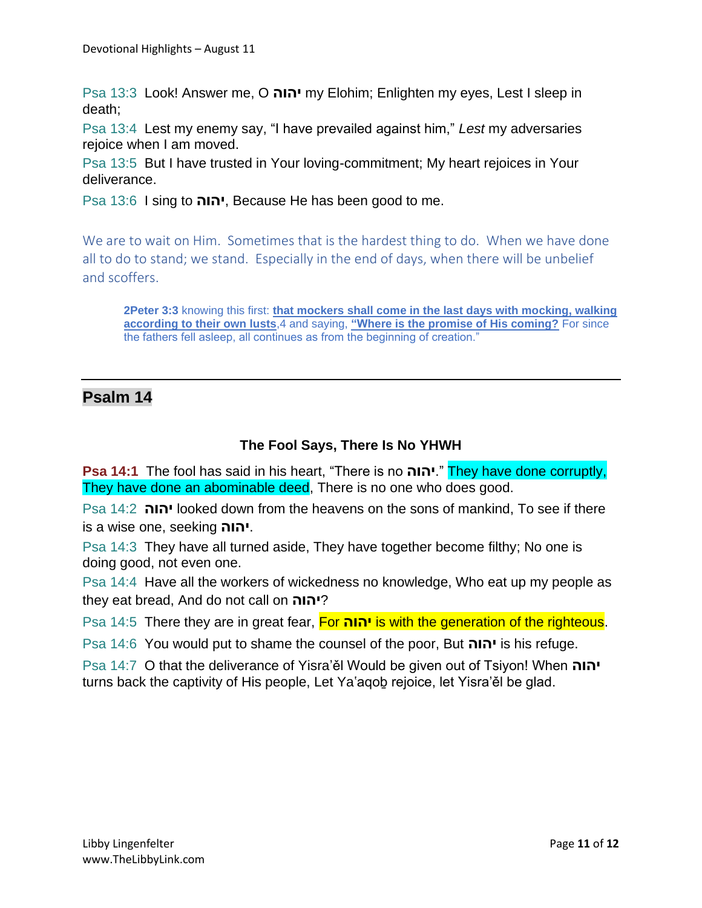Psa 13:3 Look! Answer me, O **יהוה** my Elohim; Enlighten my eyes, Lest I sleep in death;

Psa 13:4 Lest my enemy say, "I have prevailed against him," *Lest* my adversaries rejoice when I am moved.

Psa 13:5 But I have trusted in Your loving-commitment; My heart rejoices in Your deliverance.

Psa 13:6 I sing to **יהוה**, Because He has been good to me.

We are to wait on Him. Sometimes that is the hardest thing to do. When we have done all to do to stand; we stand. Especially in the end of days, when there will be unbelief and scoffers.

**2Peter 3[:3](https://biblehub.com/2_peter/3-3.htm)** knowing this first: **that mockers shall come in the last days with mocking, walking according to their own lusts**[,4](https://biblehub.com/2_peter/3-4.htm) and saying, **"Where is the promise of His coming?** For since the fathers fell asleep, all continues as from the beginning of creation."

# **Psalm 14**

## **The Fool Says, There Is No YHWH**

**Psa 14:1** The fool has said in his heart, "There is no **יהוה**. "They have done corruptly, They have done an abominable deed, There is no one who does good.

Psa 14:2 **יהוה** looked down from the heavens on the sons of mankind, To see if there is a wise one, seeking **יהוה**.

Psa 14:3 They have all turned aside, They have together become filthy; No one is doing good, not even one.

Psa 14:4 Have all the workers of wickedness no knowledge, Who eat up my people as they eat bread, And do not call on **יהוה**?

Psa 14:5 There they are in great fear, For **יהוה** is with the generation of the righteous.

Psa 14:6 You would put to shame the counsel of the poor, But **יהוה** is his refuge.

Psa 14:7 O that the deliverance of Yisra'ěl Would be given out of Tsiyon! When **יהוה** turns back the captivity of His people, Let Ya'aqoḇ rejoice, let Yisra'ěl be glad.